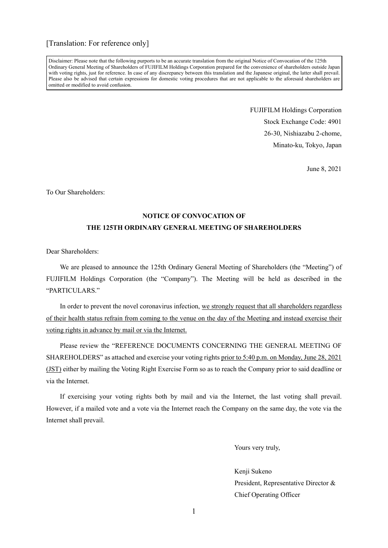Disclaimer: Please note that the following purports to be an accurate translation from the original Notice of Convocation of the 125th Ordinary General Meeting of Shareholders of FUJIFILM Holdings Corporation prepared for the convenience of shareholders outside Japan with voting rights, just for reference. In case of any discrepancy between this translation and the Japanese original, the latter shall prevail. Please also be advised that certain expressions for domestic voting procedures that are not applicable to the aforesaid shareholders are omitted or modified to avoid confusion.

> FUJIFILM Holdings Corporation Stock Exchange Code: 4901 26-30, Nishiazabu 2-chome, Minato-ku, Tokyo, Japan

> > June 8, 2021

To Our Shareholders:

### **NOTICE OF CONVOCATION OF THE 125TH ORDINARY GENERAL MEETING OF SHAREHOLDERS**

Dear Shareholders:

We are pleased to announce the 125th Ordinary General Meeting of Shareholders (the "Meeting") of FUJIFILM Holdings Corporation (the "Company"). The Meeting will be held as described in the "PARTICULARS"

In order to prevent the novel coronavirus infection, we strongly request that all shareholders regardless of their health status refrain from coming to the venue on the day of the Meeting and instead exercise their voting rights in advance by mail or via the Internet.

Please review the "REFERENCE DOCUMENTS CONCERNING THE GENERAL MEETING OF SHAREHOLDERS" as attached and exercise your voting rights prior to 5:40 p.m. on Monday, June 28, 2021 (JST) either by mailing the Voting Right Exercise Form so as to reach the Company prior to said deadline or via the Internet.

If exercising your voting rights both by mail and via the Internet, the last voting shall prevail. However, if a mailed vote and a vote via the Internet reach the Company on the same day, the vote via the Internet shall prevail.

Yours very truly,

Kenji Sukeno

President, Representative Director & Chief Operating Officer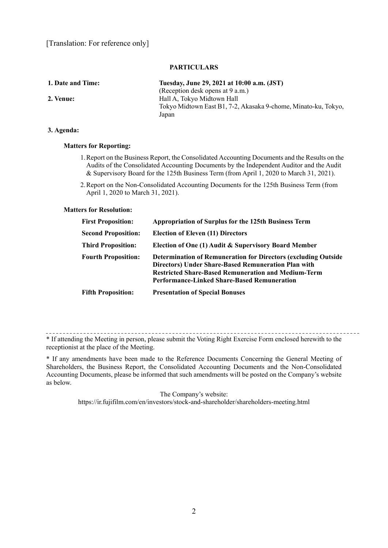#### **PARTICULARS**

| 1. Date and Time: | Tuesday, June 29, 2021 at 10:00 a.m. (JST)                     |
|-------------------|----------------------------------------------------------------|
|                   | (Reception desk opens at 9 a.m.)                               |
| 2. Venue:         | Hall A, Tokyo Midtown Hall                                     |
|                   | Tokyo Midtown East B1, 7-2, Akasaka 9-chome, Minato-ku, Tokyo, |
|                   | Japan                                                          |
|                   |                                                                |

#### **3. Agenda:**

#### **Matters for Reporting:**

- 1. Report on the Business Report, the Consolidated Accounting Documents and the Results on the Audits of the Consolidated Accounting Documents by the Independent Auditor and the Audit & Supervisory Board for the 125th Business Term (from April 1, 2020 to March 31, 2021).
- 2. Report on the Non-Consolidated Accounting Documents for the 125th Business Term (from April 1, 2020 to March 31, 2021).

#### **Matters for Resolution:**

| <b>First Proposition:</b>  | <b>Appropriation of Surplus for the 125th Business Term</b>                                                                                                                                                                                               |
|----------------------------|-----------------------------------------------------------------------------------------------------------------------------------------------------------------------------------------------------------------------------------------------------------|
| <b>Second Proposition:</b> | <b>Election of Eleven (11) Directors</b>                                                                                                                                                                                                                  |
| <b>Third Proposition:</b>  | Election of One (1) Audit & Supervisory Board Member                                                                                                                                                                                                      |
| <b>Fourth Proposition:</b> | <b>Determination of Remuneration for Directors (excluding Outside)</b><br><b>Directors</b> ) Under Share-Based Remuneration Plan with<br><b>Restricted Share-Based Remuneration and Medium-Term</b><br><b>Performance-Linked Share-Based Remuneration</b> |
| <b>Fifth Proposition:</b>  | <b>Presentation of Special Bonuses</b>                                                                                                                                                                                                                    |

\* If attending the Meeting in person, please submit the Voting Right Exercise Form enclosed herewith to the receptionist at the place of the Meeting.

\* If any amendments have been made to the Reference Documents Concerning the General Meeting of Shareholders, the Business Report, the Consolidated Accounting Documents and the Non-Consolidated Accounting Documents, please be informed that such amendments will be posted on the Company's website as below.

The Company's website:

https://ir.fujifilm.com/en/investors/stock-and-shareholder/shareholders-meeting.html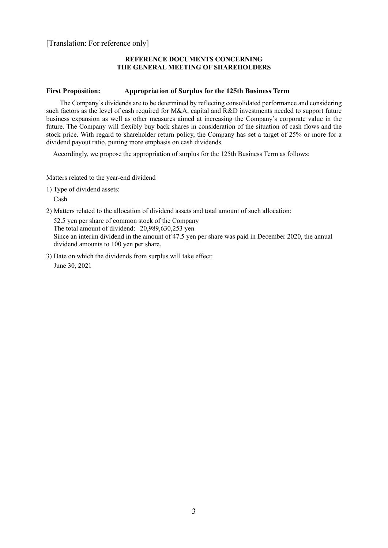#### **REFERENCE DOCUMENTS CONCERNING THE GENERAL MEETING OF SHAREHOLDERS**

#### **First Proposition: Appropriation of Surplus for the 125th Business Term**

The Company's dividends are to be determined by reflecting consolidated performance and considering such factors as the level of cash required for M&A, capital and R&D investments needed to support future business expansion as well as other measures aimed at increasing the Company's corporate value in the future. The Company will flexibly buy back shares in consideration of the situation of cash flows and the stock price. With regard to shareholder return policy, the Company has set a target of 25% or more for a dividend payout ratio, putting more emphasis on cash dividends.

Accordingly, we propose the appropriation of surplus for the 125th Business Term as follows:

Matters related to the year-end dividend

1) Type of dividend assets:

Cash

2) Matters related to the allocation of dividend assets and total amount of such allocation:

52.5 yen per share of common stock of the Company The total amount of dividend: 20,989,630,253 yen Since an interim dividend in the amount of 47.5 yen per share was paid in December 2020, the annual dividend amounts to 100 yen per share.

3) Date on which the dividends from surplus will take effect: June 30, 2021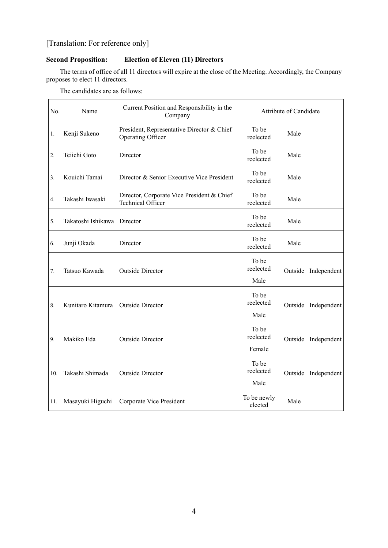### **Second Proposition: Election of Eleven (11) Directors**

The terms of office of all 11 directors will expire at the close of the Meeting. Accordingly, the Company proposes to elect 11 directors.

The candidates are as follows:

| No. | Name                               | Current Position and Responsibility in the<br>Company                  | Attribute of Candidate       |      |                     |
|-----|------------------------------------|------------------------------------------------------------------------|------------------------------|------|---------------------|
| 1.  | Kenji Sukeno                       | President, Representative Director & Chief<br>Operating Officer        | To be<br>reelected           | Male |                     |
| 2.  | Teiichi Goto                       | Director                                                               | To be<br>reelected           | Male |                     |
| 3.  | Kouichi Tamai                      | Director & Senior Executive Vice President                             | To be<br>reelected           | Male |                     |
| 4.  | Takashi Iwasaki                    | Director, Corporate Vice President & Chief<br><b>Technical Officer</b> | To be<br>reelected           | Male |                     |
| 5.  | Takatoshi Ishikawa Director        |                                                                        | To be<br>reelected           | Male |                     |
| 6.  | Junji Okada                        | Director                                                               | To be<br>reelected           | Male |                     |
| 7.  | Tatsuo Kawada                      | Outside Director                                                       | To be<br>reelected<br>Male   |      | Outside Independent |
| 8.  | Kunitaro Kitamura Outside Director |                                                                        | To be<br>reelected<br>Male   |      | Outside Independent |
| 9.  | Makiko Eda                         | Outside Director                                                       | To be<br>reelected<br>Female |      | Outside Independent |
| 10. | Takashi Shimada                    | <b>Outside Director</b>                                                | To be<br>reelected<br>Male   |      | Outside Independent |
| 11. | Masayuki Higuchi                   | Corporate Vice President                                               | To be newly<br>elected       | Male |                     |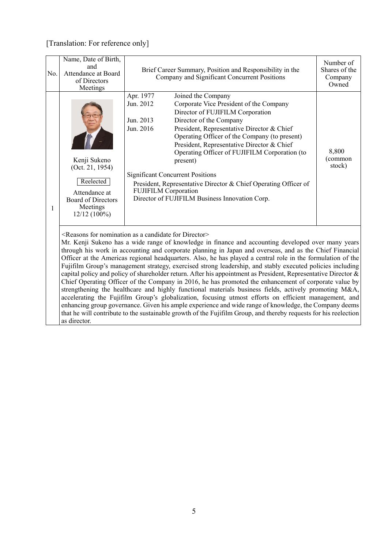| No. | Name, Date of Birth,<br>and<br>Attendance at Board<br>of Directors<br>Meetings                                           | Brief Career Summary, Position and Responsibility in the<br>Company and Significant Concurrent Positions                                                                                                                                                                                                                                                                                                                                                                                                                                                                                                                                                                                                                                                                                                                                                                                                                                                                                                                                                                                                                                                                                                              | Number of<br>Shares of the<br>Company<br>Owned |
|-----|--------------------------------------------------------------------------------------------------------------------------|-----------------------------------------------------------------------------------------------------------------------------------------------------------------------------------------------------------------------------------------------------------------------------------------------------------------------------------------------------------------------------------------------------------------------------------------------------------------------------------------------------------------------------------------------------------------------------------------------------------------------------------------------------------------------------------------------------------------------------------------------------------------------------------------------------------------------------------------------------------------------------------------------------------------------------------------------------------------------------------------------------------------------------------------------------------------------------------------------------------------------------------------------------------------------------------------------------------------------|------------------------------------------------|
| 1   | Kenji Sukeno<br>(Oct. 21, 1954)<br>Reelected<br>Attendance at<br><b>Board of Directors</b><br>Meetings<br>$12/12(100\%)$ | Apr. 1977<br>Joined the Company<br>Jun. 2012<br>Corporate Vice President of the Company<br>Director of FUJIFILM Corporation<br>Director of the Company<br>Jun. 2013<br>Jun. 2016<br>President, Representative Director & Chief<br>Operating Officer of the Company (to present)<br>President, Representative Director & Chief<br>Operating Officer of FUJIFILM Corporation (to<br>present)<br><b>Significant Concurrent Positions</b><br>President, Representative Director & Chief Operating Officer of<br><b>FUJIFILM Corporation</b><br>Director of FUJIFILM Business Innovation Corp.                                                                                                                                                                                                                                                                                                                                                                                                                                                                                                                                                                                                                             | 8,800<br>(common<br>stock)                     |
|     | as director.                                                                                                             | <reasons a="" as="" candidate="" director="" for="" nomination=""><br/>Mr. Kenji Sukeno has a wide range of knowledge in finance and accounting developed over many years<br/>through his work in accounting and corporate planning in Japan and overseas, and as the Chief Financial<br/>Officer at the Americas regional headquarters. Also, he has played a central role in the formulation of the<br/>Fujifilm Group's management strategy, exercised strong leadership, and stably executed policies including<br/>capital policy and policy of shareholder return. After his appointment as President, Representative Director &amp;<br/>Chief Operating Officer of the Company in 2016, he has promoted the enhancement of corporate value by<br/>strengthening the healthcare and highly functional materials business fields, actively promoting M&amp;A,<br/>accelerating the Fujifilm Group's globalization, focusing utmost efforts on efficient management, and<br/>enhancing group governance. Given his ample experience and wide range of knowledge, the Company deems<br/>that he will contribute to the sustainable growth of the Fujifilm Group, and thereby requests for his reelection</reasons> |                                                |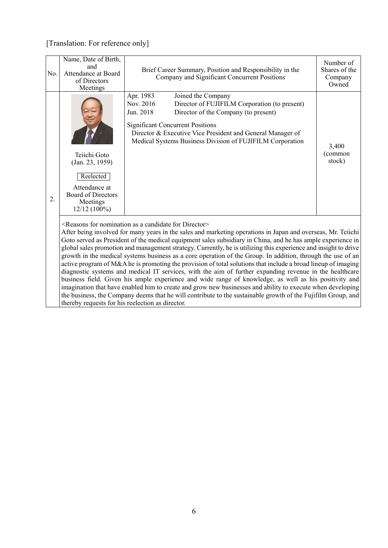| No. | Name, Date of Birth,<br>and<br>Attendance at Board<br>of Directors<br>Meetings                                           | Brief Career Summary, Position and Responsibility in the<br>Company and Significant Concurrent Positions                                                                                                                                                                                                                                                                                                                                                                                                                                                                                                                                                                                                                                                                                                                                                                                      | Number of<br>Shares of the<br>Company<br>Owned |
|-----|--------------------------------------------------------------------------------------------------------------------------|-----------------------------------------------------------------------------------------------------------------------------------------------------------------------------------------------------------------------------------------------------------------------------------------------------------------------------------------------------------------------------------------------------------------------------------------------------------------------------------------------------------------------------------------------------------------------------------------------------------------------------------------------------------------------------------------------------------------------------------------------------------------------------------------------------------------------------------------------------------------------------------------------|------------------------------------------------|
| 2.  | Teiichi Goto<br>(Jan. 23, 1959)<br>Reelected<br>Attendance at<br><b>Board of Directors</b><br>Meetings<br>$12/12(100\%)$ | Apr. 1983<br>Joined the Company<br>Nov. 2016<br>Director of FUJIFILM Corporation (to present)<br>Jun. 2018<br>Director of the Company (to present)<br><b>Significant Concurrent Positions</b><br>Director & Executive Vice President and General Manager of<br>Medical Systems Business Division of FUJIFILM Corporation                                                                                                                                                                                                                                                                                                                                                                                                                                                                                                                                                                      | 3,400<br>(common<br>stock)                     |
|     |                                                                                                                          | <reasons a="" as="" candidate="" director="" for="" nomination=""><br/>After being involved for many years in the sales and marketing operations in Japan and overseas, Mr. Teiichi<br/>Goto served as President of the medical equipment sales subsidiary in China, and he has ample experience in<br/>global sales promotion and management strategy. Currently, he is utilizing this experience and insight to drive<br/>growth in the medical systems business as a core operation of the Group. In addition, through the use of an<br/>active program of M&amp;A he is promoting the provision of total solutions that include a broad lineup of imaging<br/>diagnostic systems and medical IT services, with the aim of further expanding revenue in the healthcare<br/>business field. Given his ample experience and wide range of knowledge, as well as his positivity and</reasons> |                                                |

imagination that have enabled him to create and grow new businesses and ability to execute when developing the business, the Company deems that he will contribute to the sustainable growth of the Fujifilm Group, and thereby requests for his reelection as director.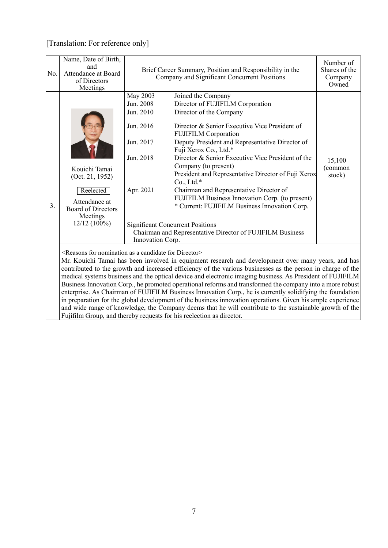| No.                                                                                                                                                                                                                                                                                                                                                                                                                                                                                                                                                                                                                                                                                                                                                                                                                                                                                                                                                | Name, Date of Birth,<br>and<br>Attendance at Board<br>of Directors<br>Meetings                                            |                                                                                                                   | Brief Career Summary, Position and Responsibility in the<br>Company and Significant Concurrent Positions                                                                                                                                                                                                                                                                                                                                                                                                                                                                                                                                                 | Number of<br>Shares of the<br>Company<br>Owned |
|----------------------------------------------------------------------------------------------------------------------------------------------------------------------------------------------------------------------------------------------------------------------------------------------------------------------------------------------------------------------------------------------------------------------------------------------------------------------------------------------------------------------------------------------------------------------------------------------------------------------------------------------------------------------------------------------------------------------------------------------------------------------------------------------------------------------------------------------------------------------------------------------------------------------------------------------------|---------------------------------------------------------------------------------------------------------------------------|-------------------------------------------------------------------------------------------------------------------|----------------------------------------------------------------------------------------------------------------------------------------------------------------------------------------------------------------------------------------------------------------------------------------------------------------------------------------------------------------------------------------------------------------------------------------------------------------------------------------------------------------------------------------------------------------------------------------------------------------------------------------------------------|------------------------------------------------|
| 3.                                                                                                                                                                                                                                                                                                                                                                                                                                                                                                                                                                                                                                                                                                                                                                                                                                                                                                                                                 | Kouichi Tamai<br>(Oct. 21, 1952)<br>Reelected<br>Attendance at<br><b>Board of Directors</b><br>Meetings<br>$12/12(100\%)$ | <b>May 2003</b><br>Jun. 2008<br>Jun. 2010<br>Jun. 2016<br>Jun. 2017<br>Jun. 2018<br>Apr. 2021<br>Innovation Corp. | Joined the Company<br>Director of FUJIFILM Corporation<br>Director of the Company<br>Director & Senior Executive Vice President of<br><b>FUJIFILM Corporation</b><br>Deputy President and Representative Director of<br>Fuji Xerox Co., Ltd.*<br>Director & Senior Executive Vice President of the<br>Company (to present)<br>President and Representative Director of Fuji Xerox<br>$Co., Ltd.*$<br>Chairman and Representative Director of<br>FUJIFILM Business Innovation Corp. (to present)<br>* Current: FUJIFILM Business Innovation Corp.<br><b>Significant Concurrent Positions</b><br>Chairman and Representative Director of FUJIFILM Business | 15,100<br>(common<br>stock)                    |
| <reasons a="" as="" candidate="" director="" for="" nomination=""><br/>Mr. Kouichi Tamai has been involved in equipment research and development over many years, and has<br/>contributed to the growth and increased efficiency of the various businesses as the person in charge of the<br/>medical systems business and the optical device and electronic imaging business. As President of FUJIFILM<br/>Business Innovation Corp., he promoted operational reforms and transformed the company into a more robust<br/>enterprise. As Chairman of FUJIFILM Business Innovation Corp., he is currently solidifying the foundation<br/>in preparation for the global development of the business innovation operations. Given his ample experience<br/>and wide range of knowledge, the Company deems that he will contribute to the sustainable growth of the<br/>Fujifilm Group, and thereby requests for his reelection as director.</reasons> |                                                                                                                           |                                                                                                                   |                                                                                                                                                                                                                                                                                                                                                                                                                                                                                                                                                                                                                                                          |                                                |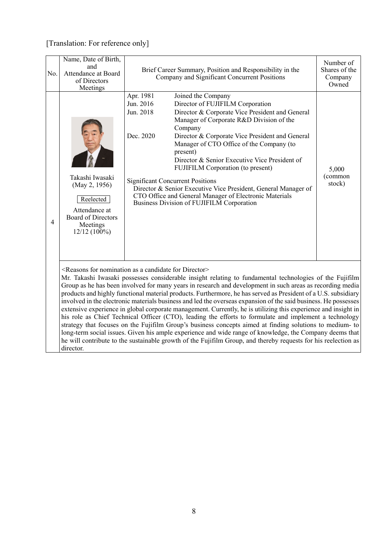| No.            | Name, Date of Birth,<br>and<br>Attendance at Board<br>of Directors<br>Meetings                                            | Brief Career Summary, Position and Responsibility in the<br>Company and Significant Concurrent Positions                                                                                                                                                                                                                                                                                                                                                                                                                                                                                                                                                                                                                                                                                                                                                                                                                                                                                                                                                                                                                | Number of<br>Shares of the<br>Company<br>Owned |
|----------------|---------------------------------------------------------------------------------------------------------------------------|-------------------------------------------------------------------------------------------------------------------------------------------------------------------------------------------------------------------------------------------------------------------------------------------------------------------------------------------------------------------------------------------------------------------------------------------------------------------------------------------------------------------------------------------------------------------------------------------------------------------------------------------------------------------------------------------------------------------------------------------------------------------------------------------------------------------------------------------------------------------------------------------------------------------------------------------------------------------------------------------------------------------------------------------------------------------------------------------------------------------------|------------------------------------------------|
| $\overline{4}$ | Takashi Iwasaki<br>(May 2, 1956)<br>Reelected<br>Attendance at<br><b>Board of Directors</b><br>Meetings<br>$12/12(100\%)$ | Apr. 1981<br>Joined the Company<br>Jun. 2016<br>Director of FUJIFILM Corporation<br>Jun. 2018<br>Director & Corporate Vice President and General<br>Manager of Corporate R&D Division of the<br>Company<br>Dec. 2020<br>Director & Corporate Vice President and General<br>Manager of CTO Office of the Company (to<br>present)<br>Director & Senior Executive Vice President of<br>FUJIFILM Corporation (to present)<br><b>Significant Concurrent Positions</b><br>Director & Senior Executive Vice President, General Manager of<br>CTO Office and General Manager of Electronic Materials<br>Business Division of FUJIFILM Corporation                                                                                                                                                                                                                                                                                                                                                                                                                                                                               | 5,000<br>(common<br>stock)                     |
|                | director.                                                                                                                 | <reasons a="" as="" candidate="" director="" for="" nomination=""><br/>Mr. Takashi Iwasaki possesses considerable insight relating to fundamental technologies of the Fujifilm<br/>Group as he has been involved for many years in research and development in such areas as recording media<br/>products and highly functional material products. Furthermore, he has served as President of a U.S. subsidiary<br/>involved in the electronic materials business and led the overseas expansion of the said business. He possesses<br/>extensive experience in global corporate management. Currently, he is utilizing this experience and insight in<br/>his role as Chief Technical Officer (CTO), leading the efforts to formulate and implement a technology<br/>strategy that focuses on the Fujifilm Group's business concepts aimed at finding solutions to medium- to<br/>long-term social issues. Given his ample experience and wide range of knowledge, the Company deems that<br/>he will contribute to the sustainable growth of the Fujifilm Group, and thereby requests for his reelection as</reasons> |                                                |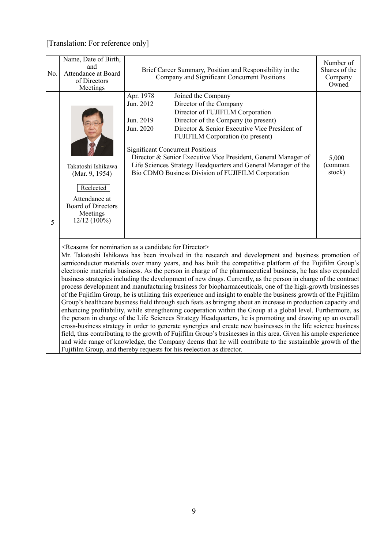| No. | Name, Date of Birth,<br>and<br>Attendance at Board<br>of Directors<br>Meetings                                                | Brief Career Summary, Position and Responsibility in the<br>Company and Significant Concurrent Positions                                                                                                                                                                                                                                                                                                                                                                                                                                                                                                                                                                                                                                                                                                                                                                                                                                                                                                                                                                                                               | Number of<br>Shares of the<br>Company<br>Owned |
|-----|-------------------------------------------------------------------------------------------------------------------------------|------------------------------------------------------------------------------------------------------------------------------------------------------------------------------------------------------------------------------------------------------------------------------------------------------------------------------------------------------------------------------------------------------------------------------------------------------------------------------------------------------------------------------------------------------------------------------------------------------------------------------------------------------------------------------------------------------------------------------------------------------------------------------------------------------------------------------------------------------------------------------------------------------------------------------------------------------------------------------------------------------------------------------------------------------------------------------------------------------------------------|------------------------------------------------|
| 5   | Takatoshi Ishikawa<br>(Mar. 9, 1954)<br>Reelected<br>Attendance at<br><b>Board of Directors</b><br>Meetings<br>$12/12(100\%)$ | Apr. 1978<br>Joined the Company<br>Director of the Company<br>Jun. 2012<br>Director of FUJIFILM Corporation<br>Jun. 2019<br>Director of the Company (to present)<br>Jun. 2020<br>Director & Senior Executive Vice President of<br><b>FUJIFILM Corporation (to present)</b><br><b>Significant Concurrent Positions</b><br>Director & Senior Executive Vice President, General Manager of<br>Life Sciences Strategy Headquarters and General Manager of the<br>Bio CDMO Business Division of FUJIFILM Corporation                                                                                                                                                                                                                                                                                                                                                                                                                                                                                                                                                                                                        | 5,000<br>(common<br>stock)                     |
|     |                                                                                                                               | <reasons a="" as="" candidate="" director="" for="" nomination=""><br/>Mr. Takatoshi Ishikawa has been involved in the research and development and business promotion of<br/>semiconductor materials over many years, and has built the competitive platform of the Fujifilm Group's<br/>electronic materials business. As the person in charge of the pharmaceutical business, he has also expanded<br/>business strategies including the development of new drugs. Currently, as the person in charge of the contract<br/>process development and manufacturing business for biopharmaceuticals, one of the high-growth businesses<br/>of the Fujifilm Group, he is utilizing this experience and insight to enable the business growth of the Fujifilm<br/>Group's healthcare business field through such feats as bringing about an increase in production capacity and<br/>enhancing profitability, while strengthening cooperation within the Group at a global level. Furthermore, as<br/>the person in charge of the Life Sciences Strategy Headquarters, he is promoting and drawing up an overall</reasons> |                                                |

cross-business strategy in order to generate synergies and create new businesses in the life science business field, thus contributing to the growth of Fujifilm Group's businesses in this area. Given his ample experience and wide range of knowledge, the Company deems that he will contribute to the sustainable growth of the

Fujifilm Group, and thereby requests for his reelection as director.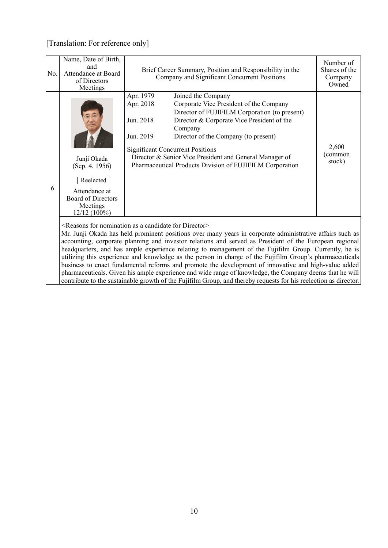| Apr. 1979<br>Joined the Company<br>Apr. 2018<br>Corporate Vice President of the Company<br>Director of FUJIFILM Corporation (to present)<br>Director & Corporate Vice President of the<br>Jun. 2018<br>Company<br>Jun. 2019<br>Director of the Company (to present)<br>2,600<br><b>Significant Concurrent Positions</b><br>(common<br>Director & Senior Vice President and General Manager of<br>Junji Okada<br>stock)<br>Pharmaceutical Products Division of FUJIFILM Corporation<br>(Sep. 4, 1956)<br>Reelected<br>6<br>Attendance at<br><b>Board of Directors</b><br>Meetings | No. | Name, Date of Birth,<br>and<br>Attendance at Board<br>of Directors<br>Meetings | Brief Career Summary, Position and Responsibility in the<br>Company and Significant Concurrent Positions | Number of<br>Shares of the<br>Company<br>Owned |
|----------------------------------------------------------------------------------------------------------------------------------------------------------------------------------------------------------------------------------------------------------------------------------------------------------------------------------------------------------------------------------------------------------------------------------------------------------------------------------------------------------------------------------------------------------------------------------|-----|--------------------------------------------------------------------------------|----------------------------------------------------------------------------------------------------------|------------------------------------------------|
|                                                                                                                                                                                                                                                                                                                                                                                                                                                                                                                                                                                  |     | $12/12(100\%)$                                                                 |                                                                                                          |                                                |

<Reasons for nomination as a candidate for Director>

Mr. Junji Okada has held prominent positions over many years in corporate administrative affairs such as accounting, corporate planning and investor relations and served as President of the European regional headquarters, and has ample experience relating to management of the Fujifilm Group. Currently, he is utilizing this experience and knowledge as the person in charge of the Fujifilm Group's pharmaceuticals business to enact fundamental reforms and promote the development of innovative and high-value added pharmaceuticals. Given his ample experience and wide range of knowledge, the Company deems that he will contribute to the sustainable growth of the Fujifilm Group, and thereby requests for his reelection as director.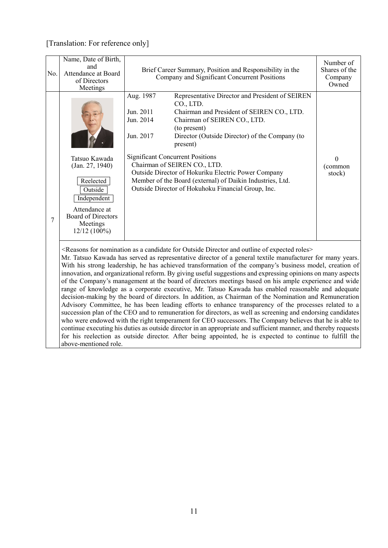| No. | Name, Date of Birth,<br>and<br>Attendance at Board<br>of Directors<br>Meetings                                                                      | Brief Career Summary, Position and Responsibility in the<br>Company and Significant Concurrent Positions                                                                                                                                                                                                                                                                                                                                                                                                                                                                                                                                                                                                                                                                                                                                                                                                                                                                                                                                                                                                                                                                                                                                                                                                                                                                          | Number of<br>Shares of the<br>Company<br>Owned |
|-----|-----------------------------------------------------------------------------------------------------------------------------------------------------|-----------------------------------------------------------------------------------------------------------------------------------------------------------------------------------------------------------------------------------------------------------------------------------------------------------------------------------------------------------------------------------------------------------------------------------------------------------------------------------------------------------------------------------------------------------------------------------------------------------------------------------------------------------------------------------------------------------------------------------------------------------------------------------------------------------------------------------------------------------------------------------------------------------------------------------------------------------------------------------------------------------------------------------------------------------------------------------------------------------------------------------------------------------------------------------------------------------------------------------------------------------------------------------------------------------------------------------------------------------------------------------|------------------------------------------------|
| 7   | Tatsuo Kawada<br>(Jan. 27, 1940)<br>Reelected<br>Outside<br>Independent<br>Attendance at<br><b>Board of Directors</b><br>Meetings<br>$12/12(100\%)$ | Representative Director and President of SEIREN<br>Aug. 1987<br>CO., LTD.<br>Jun. 2011<br>Chairman and President of SEIREN CO., LTD.<br>Jun. 2014<br>Chairman of SEIREN CO., LTD.<br>(to present)<br>Jun. 2017<br>Director (Outside Director) of the Company (to<br>present)<br><b>Significant Concurrent Positions</b><br>Chairman of SEIREN CO., LTD.<br>Outside Director of Hokuriku Electric Power Company<br>Member of the Board (external) of Daikin Industries, Ltd.<br>Outside Director of Hokuhoku Financial Group, Inc.                                                                                                                                                                                                                                                                                                                                                                                                                                                                                                                                                                                                                                                                                                                                                                                                                                                 | $\mathbf{0}$<br>(common<br>stock)              |
|     | above-mentioned role.                                                                                                                               | <reasons a="" and="" as="" candidate="" director="" expected="" for="" nomination="" of="" outline="" outside="" roles=""><br/>Mr. Tatsuo Kawada has served as representative director of a general textile manufacturer for many years.<br/>With his strong leadership, he has achieved transformation of the company's business model, creation of<br/>innovation, and organizational reform. By giving useful suggestions and expressing opinions on many aspects<br/>of the Company's management at the board of directors meetings based on his ample experience and wide<br/>range of knowledge as a corporate executive, Mr. Tatsuo Kawada has enabled reasonable and adequate<br/>decision-making by the board of directors. In addition, as Chairman of the Nomination and Remuneration<br/>Advisory Committee, he has been leading efforts to enhance transparency of the processes related to a<br/>succession plan of the CEO and to remuneration for directors, as well as screening and endorsing candidates<br/>who were endowed with the right temperament for CEO successors. The Company believes that he is able to<br/>continue executing his duties as outside director in an appropriate and sufficient manner, and thereby requests<br/>for his reelection as outside director. After being appointed, he is expected to continue to fulfill the</reasons> |                                                |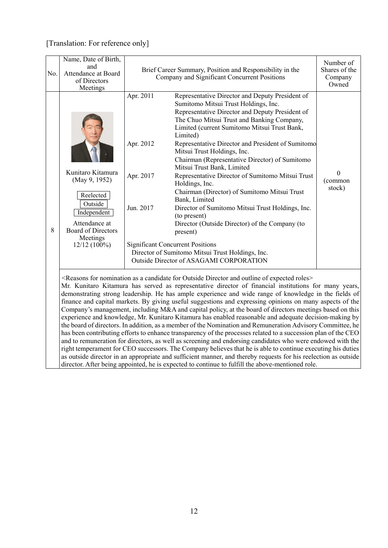| No. | Name, Date of Birth,<br>and<br>Attendance at Board<br>of Directors<br>Meetings                                                                        | Brief Career Summary, Position and Responsibility in the<br>Company and Significant Concurrent Positions                                                                                                                                                                                                                                                                                                                                                                                                                                                                                                                                                                                                                                                                                                                                                                                                                                                                                                                                                                                                                                                                                                                                                                               | Number of<br>Shares of the<br>Company<br>Owned |
|-----|-------------------------------------------------------------------------------------------------------------------------------------------------------|----------------------------------------------------------------------------------------------------------------------------------------------------------------------------------------------------------------------------------------------------------------------------------------------------------------------------------------------------------------------------------------------------------------------------------------------------------------------------------------------------------------------------------------------------------------------------------------------------------------------------------------------------------------------------------------------------------------------------------------------------------------------------------------------------------------------------------------------------------------------------------------------------------------------------------------------------------------------------------------------------------------------------------------------------------------------------------------------------------------------------------------------------------------------------------------------------------------------------------------------------------------------------------------|------------------------------------------------|
| 8   | Kunitaro Kitamura<br>(May 9, 1952)<br>Reelected<br>Outside<br>Independent<br>Attendance at<br><b>Board of Directors</b><br>Meetings<br>$12/12(100\%)$ | Apr. 2011<br>Representative Director and Deputy President of<br>Sumitomo Mitsui Trust Holdings, Inc.<br>Representative Director and Deputy President of<br>The Chuo Mitsui Trust and Banking Company,<br>Limited (current Sumitomo Mitsui Trust Bank,<br>Limited)<br>Apr. 2012<br>Representative Director and President of Sumitomo<br>Mitsui Trust Holdings, Inc.<br>Chairman (Representative Director) of Sumitomo<br>Mitsui Trust Bank, Limited<br>Apr. 2017<br>Representative Director of Sumitomo Mitsui Trust<br>Holdings, Inc.<br>Chairman (Director) of Sumitomo Mitsui Trust<br>Bank, Limited<br>Jun. 2017<br>Director of Sumitomo Mitsui Trust Holdings, Inc.<br>(to present)<br>Director (Outside Director) of the Company (to<br>present)<br><b>Significant Concurrent Positions</b><br>Director of Sumitomo Mitsui Trust Holdings, Inc.<br>Outside Director of ASAGAMI CORPORATION                                                                                                                                                                                                                                                                                                                                                                                        | $\boldsymbol{0}$<br>(common<br>stock)          |
|     |                                                                                                                                                       | <reasons a="" and="" as="" candidate="" director="" expected="" for="" nomination="" of="" outline="" outside="" roles=""><br/>Mr. Kunitaro Kitamura has served as representative director of financial institutions for many years,<br/>demonstrating strong leadership. He has ample experience and wide range of knowledge in the fields of<br/>finance and capital markets. By giving useful suggestions and expressing opinions on many aspects of the<br/>Company's management, including M&amp;A and capital policy, at the board of directors meetings based on this<br/>experience and knowledge, Mr. Kunitaro Kitamura has enabled reasonable and adequate decision-making by<br/>the board of directors. In addition, as a member of the Nomination and Remuneration Advisory Committee, he<br/>has been contributing efforts to enhance transparency of the processes related to a succession plan of the CEO<br/>and to remuneration for directors, as well as screening and endorsing candidates who were endowed with the<br/>right temperament for CEO successors. The Company believes that he is able to continue executing his duties<br/>as outside director in an appropriate and sufficient manner, and thereby requests for his reelection as outside</reasons> |                                                |

director. After being appointed, he is expected to continue to fulfill the above-mentioned role.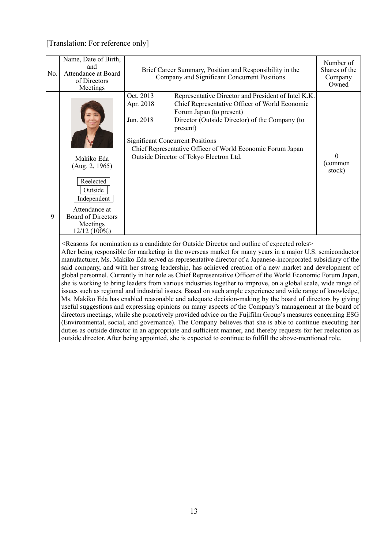| No. | Name, Date of Birth,<br>and<br>Attendance at Board<br>of Directors<br>Meetings                                                                  | Brief Career Summary, Position and Responsibility in the<br>Company and Significant Concurrent Positions                                                                                                                                                                                                                                                                                                                                                                                                                                                                                                                                                                                                                                                                                                                                                                                                                                                                                                                                                                                                                                                                                                                                                                                                                                                                                                                                                                                                        | Number of<br>Shares of the<br>Company<br>Owned |
|-----|-------------------------------------------------------------------------------------------------------------------------------------------------|-----------------------------------------------------------------------------------------------------------------------------------------------------------------------------------------------------------------------------------------------------------------------------------------------------------------------------------------------------------------------------------------------------------------------------------------------------------------------------------------------------------------------------------------------------------------------------------------------------------------------------------------------------------------------------------------------------------------------------------------------------------------------------------------------------------------------------------------------------------------------------------------------------------------------------------------------------------------------------------------------------------------------------------------------------------------------------------------------------------------------------------------------------------------------------------------------------------------------------------------------------------------------------------------------------------------------------------------------------------------------------------------------------------------------------------------------------------------------------------------------------------------|------------------------------------------------|
| 9   | Makiko Eda<br>(Aug. 2, 1965)<br>Reelected<br>Outside<br>Independent<br>Attendance at<br><b>Board of Directors</b><br>Meetings<br>$12/12(100\%)$ | Oct. 2013<br>Representative Director and President of Intel K.K.<br>Apr. 2018<br>Chief Representative Officer of World Economic<br>Forum Japan (to present)<br>Jun. 2018<br>Director (Outside Director) of the Company (to<br>present)<br><b>Significant Concurrent Positions</b><br>Chief Representative Officer of World Economic Forum Japan<br>Outside Director of Tokyo Electron Ltd.                                                                                                                                                                                                                                                                                                                                                                                                                                                                                                                                                                                                                                                                                                                                                                                                                                                                                                                                                                                                                                                                                                                      | 0<br>(common<br>stock)                         |
|     |                                                                                                                                                 | <reasons a="" and="" as="" candidate="" director="" expected="" for="" nomination="" of="" outline="" outside="" roles=""><br/>After being responsible for marketing in the overseas market for many years in a major U.S. semiconductor<br/>manufacturer, Ms. Makiko Eda served as representative director of a Japanese-incorporated subsidiary of the<br/>said company, and with her strong leadership, has achieved creation of a new market and development of<br/>global personnel. Currently in her role as Chief Representative Officer of the World Economic Forum Japan,<br/>she is working to bring leaders from various industries together to improve, on a global scale, wide range of<br/>issues such as regional and industrial issues. Based on such ample experience and wide range of knowledge,<br/>Ms. Makiko Eda has enabled reasonable and adequate decision-making by the board of directors by giving<br/>useful suggestions and expressing opinions on many aspects of the Company's management at the board of<br/>directors meetings, while she proactively provided advice on the Fujifilm Group's measures concerning ESG<br/>(Environmental, social, and governance). The Company believes that she is able to continue executing her<br/>duties as outside director in an appropriate and sufficient manner, and thereby requests for her reelection as<br/>outside director. After being appointed, she is expected to continue to fulfill the above-mentioned role.</reasons> |                                                |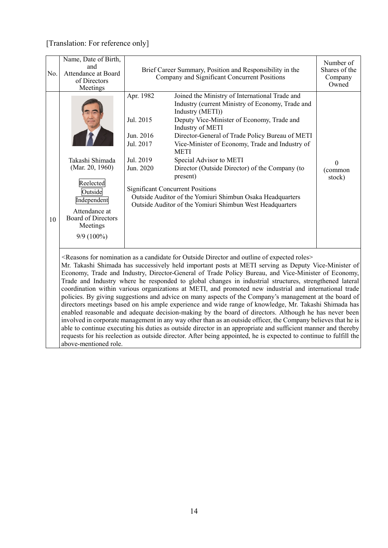above-mentioned role.

| No. | Name, Date of Birth,<br>and<br>Attendance at Board<br>of Directors<br>Meetings                                                                      |                                                                            | Brief Career Summary, Position and Responsibility in the<br>Company and Significant Concurrent Positions                                                                                                                                                                                                                                                                                                                                                                                                                                                                                                                                                                                                                                                                                                                                                                                                                                                                                                                                                                                                                                                                                                                                                           | Number of<br>Shares of the<br>Company<br>Owned |
|-----|-----------------------------------------------------------------------------------------------------------------------------------------------------|----------------------------------------------------------------------------|--------------------------------------------------------------------------------------------------------------------------------------------------------------------------------------------------------------------------------------------------------------------------------------------------------------------------------------------------------------------------------------------------------------------------------------------------------------------------------------------------------------------------------------------------------------------------------------------------------------------------------------------------------------------------------------------------------------------------------------------------------------------------------------------------------------------------------------------------------------------------------------------------------------------------------------------------------------------------------------------------------------------------------------------------------------------------------------------------------------------------------------------------------------------------------------------------------------------------------------------------------------------|------------------------------------------------|
| 10  | Takashi Shimada<br>(Mar. 20, 1960)<br>Reelected<br>Outside<br>Independent<br>Attendance at<br><b>Board of Directors</b><br>Meetings<br>$9/9(100\%)$ | Apr. 1982<br>Jul. 2015<br>Jun. 2016<br>Jul. 2017<br>Jul. 2019<br>Jun. 2020 | Joined the Ministry of International Trade and<br>Industry (current Ministry of Economy, Trade and<br>Industry (METI))<br>Deputy Vice-Minister of Economy, Trade and<br>Industry of METI<br>Director-General of Trade Policy Bureau of METI<br>Vice-Minister of Economy, Trade and Industry of<br><b>METI</b><br>Special Advisor to METI<br>Director (Outside Director) of the Company (to<br>present)<br><b>Significant Concurrent Positions</b><br>Outside Auditor of the Yomiuri Shimbun Osaka Headquarters<br>Outside Auditor of the Yomiuri Shimbun West Headquarters                                                                                                                                                                                                                                                                                                                                                                                                                                                                                                                                                                                                                                                                                         | $\Omega$<br>(common<br>stock)                  |
|     |                                                                                                                                                     |                                                                            | <reasons a="" and="" as="" candidate="" director="" expected="" for="" nomination="" of="" outline="" outside="" roles<br="">Mr. Takashi Shimada has successively held important posts at METI serving as Deputy Vice-Minister of<br/>Economy, Trade and Industry, Director-General of Trade Policy Bureau, and Vice-Minister of Economy,<br/>Trade and Industry where he responded to global changes in industrial structures, strengthened lateral<br/>coordination within various organizations at METI, and promoted new industrial and international trade<br/>policies. By giving suggestions and advice on many aspects of the Company's management at the board of<br/>directors meetings based on his ample experience and wide range of knowledge, Mr. Takashi Shimada has<br/>enabled reasonable and adequate decision-making by the board of directors. Although he has never been<br/>involved in corporate management in any way other than as an outside officer, the Company believes that he is<br/>able to continue executing his duties as outside director in an appropriate and sufficient manner and thereby<br/>requests for his reelection as outside director. After being appointed, he is expected to continue to fulfill the</reasons> |                                                |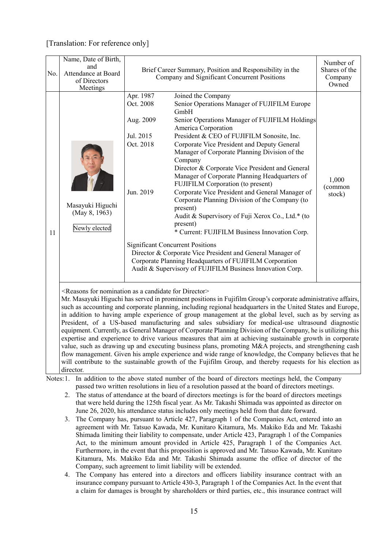| No. | Name, Date of Birth,<br>and<br>Attendance at Board<br>of Directors<br>Meetings             |                                                                            | Brief Career Summary, Position and Responsibility in the<br>Company and Significant Concurrent Positions                                                                                                                                                                                                                                                                                                                                                                                                                                                                                                                                                                                                                                                                                                                                                                                                                                                                                              | Number of<br>Shares of the<br>Company<br>Owned                                                                                                                                                                |  |  |  |  |  |  |  |  |
|-----|--------------------------------------------------------------------------------------------|----------------------------------------------------------------------------|-------------------------------------------------------------------------------------------------------------------------------------------------------------------------------------------------------------------------------------------------------------------------------------------------------------------------------------------------------------------------------------------------------------------------------------------------------------------------------------------------------------------------------------------------------------------------------------------------------------------------------------------------------------------------------------------------------------------------------------------------------------------------------------------------------------------------------------------------------------------------------------------------------------------------------------------------------------------------------------------------------|---------------------------------------------------------------------------------------------------------------------------------------------------------------------------------------------------------------|--|--|--|--|--|--|--|--|
| 11  | Masayuki Higuchi<br>(May 8, 1963)<br>Newly elected                                         | Apr. 1987<br>Oct. 2008<br>Aug. 2009<br>Jul. 2015<br>Oct. 2018<br>Jun. 2019 | Joined the Company<br>Senior Operations Manager of FUJIFILM Europe<br>GmbH<br>Senior Operations Manager of FUJIFILM Holdings<br>America Corporation<br>President & CEO of FUJIFILM Sonosite, Inc.<br>Corporate Vice President and Deputy General<br>Manager of Corporate Planning Division of the<br>Company<br>Director & Corporate Vice President and General<br>Manager of Corporate Planning Headquarters of<br>FUJIFILM Corporation (to present)<br>Corporate Vice President and General Manager of<br>Corporate Planning Division of the Company (to<br>present)<br>Audit & Supervisory of Fuji Xerox Co., Ltd.* (to<br>present)<br>* Current: FUJIFILM Business Innovation Corp.<br><b>Significant Concurrent Positions</b><br>Director & Corporate Vice President and General Manager of<br>Corporate Planning Headquarters of FUJIFILM Corporation<br>Audit & Supervisory of FUJIFILM Business Innovation Corp.                                                                              | 1,000<br>(common<br>stock)                                                                                                                                                                                    |  |  |  |  |  |  |  |  |
|     | <reasons a="" as="" candidate="" director="" for="" nomination=""><br/>director.</reasons> |                                                                            | Mr. Masayuki Higuchi has served in prominent positions in Fujifilm Group's corporate administrative affairs,<br>such as accounting and corporate planning, including regional headquarters in the United States and Europe,<br>in addition to having ample experience of group management at the global level, such as by serving as<br>President, of a US-based manufacturing and sales subsidiary for medical-use ultrasound diagnostic<br>equipment. Currently, as General Manager of Corporate Planning Division of the Company, he is utilizing this<br>expertise and experience to drive various measures that aim at achieving sustainable growth in corporate<br>value, such as drawing up and executing business plans, promoting M&A projects, and strengthening cash<br>flow management. Given his ample experience and wide range of knowledge, the Company believes that he<br>will contribute to the sustainable growth of the Fujifilm Group, and thereby requests for his election as |                                                                                                                                                                                                               |  |  |  |  |  |  |  |  |
|     |                                                                                            |                                                                            |                                                                                                                                                                                                                                                                                                                                                                                                                                                                                                                                                                                                                                                                                                                                                                                                                                                                                                                                                                                                       | Notes: 1.<br>In addition to the above stated number of the board of directors meetings held, the Company<br>passed two written resolutions in lieu of a resolution passed at the board of directors meetings. |  |  |  |  |  |  |  |  |

- 2. The status of attendance at the board of directors meetings is for the board of directors meetings that were held during the 125th fiscal year. As Mr. Takashi Shimada was appointed as director on June 26, 2020, his attendance status includes only meetings held from that date forward.
- 3. The Company has, pursuant to Article 427, Paragraph 1 of the Companies Act, entered into an agreement with Mr. Tatsuo Kawada, Mr. Kunitaro Kitamura, Ms. Makiko Eda and Mr. Takashi Shimada limiting their liability to compensate, under Article 423, Paragraph 1 of the Companies Act, to the minimum amount provided in Article 425, Paragraph 1 of the Companies Act. Furthermore, in the event that this proposition is approved and Mr. Tatsuo Kawada, Mr. Kunitaro Kitamura, Ms. Makiko Eda and Mr. Takashi Shimada assume the office of director of the Company, such agreement to limit liability will be extended.
- 4. The Company has entered into a directors and officers liability insurance contract with an insurance company pursuant to Article 430-3, Paragraph 1 of the Companies Act. In the event that a claim for damages is brought by shareholders or third parties, etc., this insurance contract will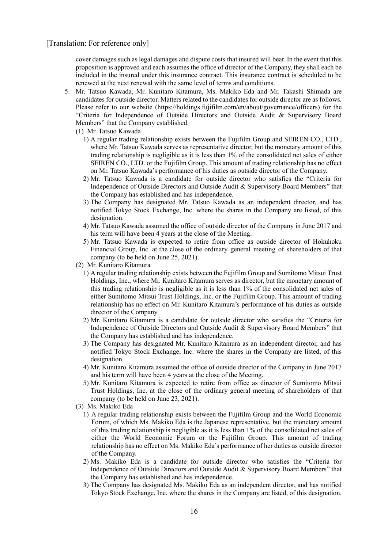cover damages such as legal damages and dispute costs that insured will bear. In the event that this proposition is approved and each assumes the office of director of the Company, they shall each be included in the insured under this insurance contract. This insurance contract is scheduled to be renewed at the next renewal with the same level of terms and conditions.

- 5. Mr. Tatsuo Kawada, Mr. Kunitaro Kitamura, Ms. Makiko Eda and Mr. Takashi Shimada are candidates for outside director. Matters related to the candidates for outside director are as follows. Please refer to our website (https://holdings.fujifilm.com/en/about/governance/officers) for the "Criteria for Independence of Outside Directors and Outside Audit & Supervisory Board Members" that the Company established.
	- (1) Mr. Tatsuo Kawada
		- 1) A regular trading relationship exists between the Fujifilm Group and SEIREN CO., LTD., where Mr. Tatsuo Kawada serves as representative director, but the monetary amount of this trading relationship is negligible as it is less than 1% of the consolidated net sales of either SEIREN CO., LTD. or the Fujifilm Group. This amount of trading relationship has no effect on Mr. Tatsuo Kawada's performance of his duties as outside director of the Company.
		- 2) Mr. Tatsuo Kawada is a candidate for outside director who satisfies the "Criteria for Independence of Outside Directors and Outside Audit & Supervisory Board Members" that the Company has established and has independence.
		- 3) The Company has designated Mr. Tatsuo Kawada as an independent director, and has notified Tokyo Stock Exchange, Inc. where the shares in the Company are listed, of this designation.
		- 4) Mr. Tatsuo Kawada assumed the office of outside director of the Company in June 2017 and his term will have been 4 years at the close of the Meeting.
		- 5) Mr. Tatsuo Kawada is expected to retire from office as outside director of Hokuhoku Financial Group, Inc. at the close of the ordinary general meeting of shareholders of that company (to be held on June 25, 2021).
	- (2) Mr. Kunitaro Kitamura
		- 1) A regular trading relationship exists between the Fujifilm Group and Sumitomo Mitsui Trust Holdings, Inc., where Mr. Kunitaro Kitamura serves as director, but the monetary amount of this trading relationship is negligible as it is less than 1% of the consolidated net sales of either Sumitomo Mitsui Trust Holdings, Inc. or the Fujifilm Group. This amount of trading relationship has no effect on Mr. Kunitaro Kitamura's performance of his duties as outside director of the Company.
		- 2) Mr. Kunitaro Kitamura is a candidate for outside director who satisfies the "Criteria for Independence of Outside Directors and Outside Audit & Supervisory Board Members" that the Company has established and has independence.
		- 3) The Company has designated Mr. Kunitaro Kitamura as an independent director, and has notified Tokyo Stock Exchange, Inc. where the shares in the Company are listed, of this designation.
		- 4) Mr. Kunitaro Kitamura assumed the office of outside director of the Company in June 2017 and his term will have been 4 years at the close of the Meeting.
		- 5) Mr. Kunitaro Kitamura is expected to retire from office as director of Sumitomo Mitsui Trust Holdings, Inc. at the close of the ordinary general meeting of shareholders of that company (to be held on June 23, 2021).
	- (3) Ms. Makiko Eda
		- 1) A regular trading relationship exists between the Fujifilm Group and the World Economic Forum, of which Ms. Makiko Eda is the Japanese representative, but the monetary amount of this trading relationship is negligible as it is less than 1% of the consolidated net sales of either the World Economic Forum or the Fujifilm Group. This amount of trading relationship has no effect on Ms. Makiko Eda's performance of her duties as outside director of the Company.
		- 2) Ms. Makiko Eda is a candidate for outside director who satisfies the "Criteria for Independence of Outside Directors and Outside Audit & Supervisory Board Members" that the Company has established and has independence.
		- 3) The Company has designated Ms. Makiko Eda as an independent director, and has notified Tokyo Stock Exchange, Inc. where the shares in the Company are listed, of this designation.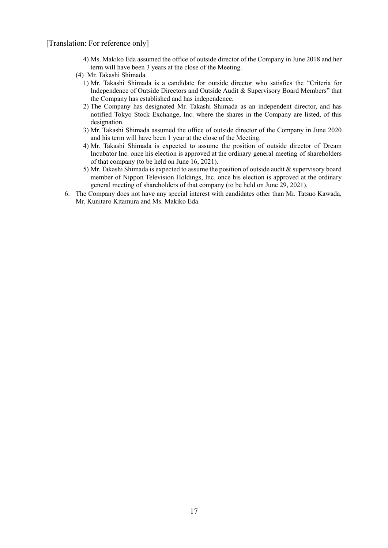- 4) Ms. Makiko Eda assumed the office of outside director of the Company in June 2018 and her term will have been 3 years at the close of the Meeting.
- (4) Mr. Takashi Shimada
	- 1) Mr. Takashi Shimada is a candidate for outside director who satisfies the "Criteria for Independence of Outside Directors and Outside Audit & Supervisory Board Members" that the Company has established and has independence.
	- 2) The Company has designated Mr. Takashi Shimada as an independent director, and has notified Tokyo Stock Exchange, Inc. where the shares in the Company are listed, of this designation.
	- 3) Mr. Takashi Shimada assumed the office of outside director of the Company in June 2020 and his term will have been 1 year at the close of the Meeting.
	- 4) Mr. Takashi Shimada is expected to assume the position of outside director of Dream Incubator Inc. once his election is approved at the ordinary general meeting of shareholders of that company (to be held on June 16, 2021).
	- 5) Mr. Takashi Shimada is expected to assume the position of outside audit & supervisory board member of Nippon Television Holdings, Inc. once his election is approved at the ordinary general meeting of shareholders of that company (to be held on June 29, 2021).
- 6. The Company does not have any special interest with candidates other than Mr. Tatsuo Kawada, Mr. Kunitaro Kitamura and Ms. Makiko Eda.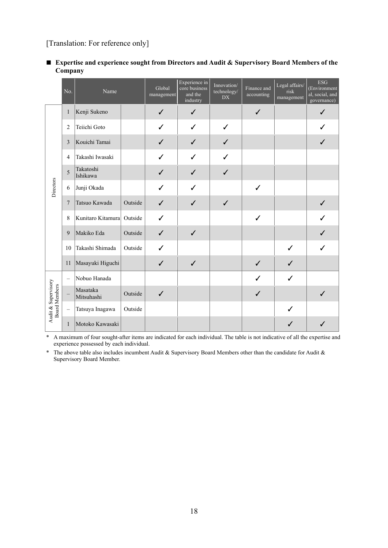### ■ Expertise and experience sought from Directors and Audit & Supervisory Board Members of the **Company**

|                                      | No.                     | Name                        |         | Global<br>management | Experience in<br>core business<br>and the<br>industry | Innovation/<br>technology/<br>DX | Finance and<br>accounting | Legal affairs/<br>risk<br>management | <b>ESG</b><br>(Environment<br>al, social, and<br>goverance) |
|--------------------------------------|-------------------------|-----------------------------|---------|----------------------|-------------------------------------------------------|----------------------------------|---------------------------|--------------------------------------|-------------------------------------------------------------|
|                                      | 1                       | Kenji Sukeno                |         | $\checkmark$         | $\checkmark$                                          |                                  | $\checkmark$              |                                      | $\checkmark$                                                |
|                                      | 2                       | Teiichi Goto                |         | ✓                    | ✓                                                     | ✓                                |                           |                                      | ✓                                                           |
|                                      | $\overline{\mathbf{3}}$ | Kouichi Tamai               |         | $\checkmark$         | ✓                                                     |                                  |                           |                                      |                                                             |
|                                      | 4                       | Takashi Iwasaki             |         | ✓                    | ✓                                                     | ✓                                |                           |                                      |                                                             |
|                                      | 5                       | Takatoshi<br>Ishikawa       |         | $\checkmark$         | $\checkmark$                                          | ✓                                |                           |                                      |                                                             |
| Directors                            | 6                       | Junji Okada                 |         | ✓                    | ✓                                                     |                                  | $\checkmark$              |                                      |                                                             |
|                                      | $\overline{7}$          | Tatsuo Kawada               | Outside | $\checkmark$         | ✓                                                     | $\checkmark$                     |                           |                                      | ✓                                                           |
|                                      | 8                       | Kunitaro Kitamura   Outside |         | ✓                    |                                                       |                                  | $\checkmark$              |                                      | ✓                                                           |
|                                      | 9                       | Makiko Eda                  | Outside | $\checkmark$         | $\checkmark$                                          |                                  |                           |                                      | ✓                                                           |
|                                      | 10                      | Takashi Shimada             | Outside | ✓                    |                                                       |                                  |                           | ✓                                    | ✓                                                           |
|                                      | 11                      | Masayuki Higuchi            |         | ✓                    | $\checkmark$                                          |                                  | ✓                         | ✓                                    |                                                             |
|                                      | $\equiv$                | Nobuo Hanada                |         |                      |                                                       |                                  | ✓                         | ✓                                    |                                                             |
| Audit & Supervisory<br>Board Members |                         | Masataka<br>Mitsuhashi      | Outside | $\checkmark$         |                                                       |                                  | $\checkmark$              |                                      | $\checkmark$                                                |
|                                      | $\equiv$                | Tatsuya Inagawa             | Outside |                      |                                                       |                                  |                           | ✓                                    |                                                             |
|                                      | $\mathbf{1}$            | Motoko Kawasaki             |         |                      |                                                       |                                  |                           | ✓                                    | ✓                                                           |

\* A maximum of four sought-after items are indicated for each individual. The table is not indicative of all the expertise and experience possessed by each individual.

\* The above table also includes incumbent Audit & Supervisory Board Members other than the candidate for Audit & Supervisory Board Member.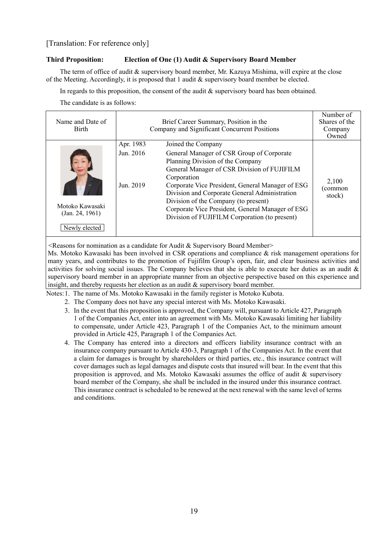#### **Third Proposition: Election of One (1) Audit & Supervisory Board Member**

The term of office of audit & supervisory board member, Mr. Kazuya Mishima, will expire at the close of the Meeting. Accordingly, it is proposed that 1 audit & supervisory board member be elected.

In regards to this proposition, the consent of the audit & supervisory board has been obtained.

The candidate is as follows:

| Name and Date of<br><b>Birth</b>   |                                     | Brief Career Summary, Position in the<br>Company and Significant Concurrent Positions                                                                                                                                                                                                                                                                                                                               | Number of<br>Shares of the<br>Company<br>Owned |
|------------------------------------|-------------------------------------|---------------------------------------------------------------------------------------------------------------------------------------------------------------------------------------------------------------------------------------------------------------------------------------------------------------------------------------------------------------------------------------------------------------------|------------------------------------------------|
| Motoko Kawasaki<br>(Jan. 24, 1961) | Apr. 1983<br>Jun. 2016<br>Jun. 2019 | Joined the Company<br>General Manager of CSR Group of Corporate<br>Planning Division of the Company<br>General Manager of CSR Division of FUJIFILM<br>Corporation<br>Corporate Vice President, General Manager of ESG<br>Division and Corporate General Administration<br>Division of the Company (to present)<br>Corporate Vice President, General Manager of ESG<br>Division of FUJIFILM Corporation (to present) | 2.100<br>(common<br>stock)                     |
| Newly elected                      |                                     |                                                                                                                                                                                                                                                                                                                                                                                                                     |                                                |

 $\leq$ Reasons for nomination as a candidate for Audit & Supervisory Board Member>

Ms. Motoko Kawasaki has been involved in CSR operations and compliance & risk management operations for many years, and contributes to the promotion of Fujifilm Group's open, fair, and clear business activities and activities for solving social issues. The Company believes that she is able to execute her duties as an audit  $\&$ supervisory board member in an appropriate manner from an objective perspective based on this experience and insight, and thereby requests her election as an audit & supervisory board member.

Notes: 1. The name of Ms. Motoko Kawasaki in the family register is Motoko Kubota.

- 2. The Company does not have any special interest with Ms. Motoko Kawasaki.
- 3. In the event that this proposition is approved, the Company will, pursuant to Article 427, Paragraph 1 of the Companies Act, enter into an agreement with Ms. Motoko Kawasaki limiting her liability to compensate, under Article 423, Paragraph 1 of the Companies Act, to the minimum amount provided in Article 425, Paragraph 1 of the Companies Act.
- 4. The Company has entered into a directors and officers liability insurance contract with an insurance company pursuant to Article 430-3, Paragraph 1 of the Companies Act. In the event that a claim for damages is brought by shareholders or third parties, etc., this insurance contract will cover damages such as legal damages and dispute costs that insured will bear. In the event that this proposition is approved, and Ms. Motoko Kawasaki assumes the office of audit & supervisory board member of the Company, she shall be included in the insured under this insurance contract. This insurance contract is scheduled to be renewed at the next renewal with the same level of terms and conditions.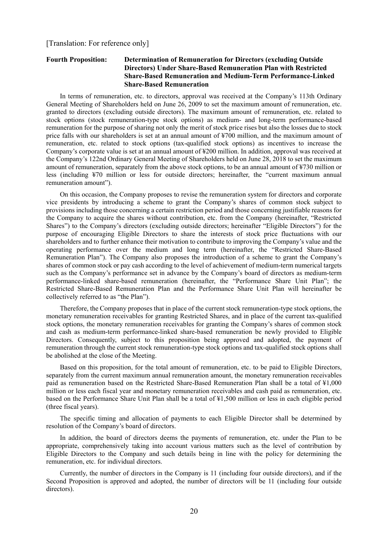#### **Fourth Proposition: Determination of Remuneration for Directors (excluding Outside Directors) Under Share-Based Remuneration Plan with Restricted Share-Based Remuneration and Medium-Term Performance-Linked Share-Based Remuneration**

In terms of remuneration, etc. to directors, approval was received at the Company's 113th Ordinary General Meeting of Shareholders held on June 26, 2009 to set the maximum amount of remuneration, etc. granted to directors (excluding outside directors). The maximum amount of remuneration, etc. related to stock options (stock remuneration-type stock options) as medium- and long-term performance-based remuneration for the purpose of sharing not only the merit of stock price rises but also the losses due to stock price falls with our shareholders is set at an annual amount of ¥700 million, and the maximum amount of remuneration, etc. related to stock options (tax-qualified stock options) as incentives to increase the Company's corporate value is set at an annual amount of ¥200 million. In addition, approval was received at the Company's 122nd Ordinary General Meeting of Shareholders held on June 28, 2018 to set the maximum amount of remuneration, separately from the above stock options, to be an annual amount of ¥730 million or less (including ¥70 million or less for outside directors; hereinafter, the "current maximum annual remuneration amount").

On this occasion, the Company proposes to revise the remuneration system for directors and corporate vice presidents by introducing a scheme to grant the Company's shares of common stock subject to provisions including those concerning a certain restriction period and those concerning justifiable reasons for the Company to acquire the shares without contribution, etc. from the Company (hereinafter, "Restricted Shares") to the Company's directors (excluding outside directors; hereinafter "Eligible Directors") for the purpose of encouraging Eligible Directors to share the interests of stock price fluctuations with our shareholders and to further enhance their motivation to contribute to improving the Company's value and the operating performance over the medium and long term (hereinafter, the "Restricted Share-Based Remuneration Plan"). The Company also proposes the introduction of a scheme to grant the Company's shares of common stock or pay cash according to the level of achievement of medium-term numerical targets such as the Company's performance set in advance by the Company's board of directors as medium-term performance-linked share-based remuneration (hereinafter, the "Performance Share Unit Plan"; the Restricted Share-Based Remuneration Plan and the Performance Share Unit Plan will hereinafter be collectively referred to as "the Plan").

Therefore, the Company proposes that in place of the current stock remuneration-type stock options, the monetary remuneration receivables for granting Restricted Shares, and in place of the current tax-qualified stock options, the monetary remuneration receivables for granting the Company's shares of common stock and cash as medium-term performance-linked share-based remuneration be newly provided to Eligible Directors. Consequently, subject to this proposition being approved and adopted, the payment of remuneration through the current stock remuneration-type stock options and tax-qualified stock options shall be abolished at the close of the Meeting.

Based on this proposition, for the total amount of remuneration, etc. to be paid to Eligible Directors, separately from the current maximum annual remuneration amount, the monetary remuneration receivables paid as remuneration based on the Restricted Share-Based Remuneration Plan shall be a total of ¥1,000 million or less each fiscal year and monetary remuneration receivables and cash paid as remuneration, etc. based on the Performance Share Unit Plan shall be a total of ¥1,500 million or less in each eligible period (three fiscal years).

The specific timing and allocation of payments to each Eligible Director shall be determined by resolution of the Company's board of directors.

In addition, the board of directors deems the payments of remuneration, etc. under the Plan to be appropriate, comprehensively taking into account various matters such as the level of contribution by Eligible Directors to the Company and such details being in line with the policy for determining the remuneration, etc. for individual directors.

Currently, the number of directors in the Company is 11 (including four outside directors), and if the Second Proposition is approved and adopted, the number of directors will be 11 (including four outside directors).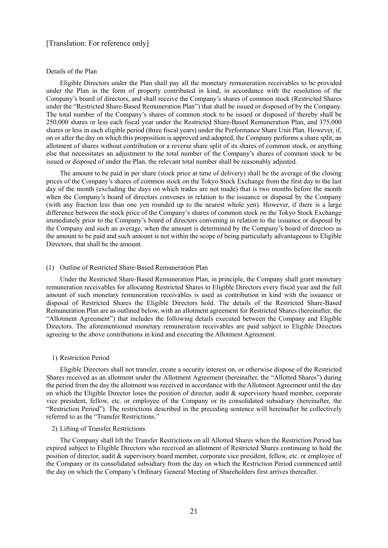#### Details of the Plan

Eligible Directors under the Plan shall pay all the monetary remuneration receivables to be provided under the Plan in the form of property contributed in kind, in accordance with the resolution of the Company's board of directors, and shall receive the Company's shares of common stock (Restricted Shares under the "Restricted Share-Based Remuneration Plan") that shall be issued or disposed of by the Company. The total number of the Company's shares of common stock to be issued or disposed of thereby shall be 250,000 shares or less each fiscal year under the Restricted Share-Based Remuneration Plan, and 375,000 shares or less in each eligible period (three fiscal years) under the Performance Share Unit Plan. However, if, on or after the day on which this proposition is approved and adopted, the Company performs a share split, an allotment of shares without contribution or a reverse share split of its shares of common stock, or anything else that necessitates an adjustment to the total number of the Company's shares of common stock to be issued or disposed of under the Plan, the relevant total number shall be reasonably adjusted.

The amount to be paid in per share (stock price at time of delivery) shall be the average of the closing prices of the Company's shares of common stock on the Tokyo Stock Exchange from the first day to the last day of the month (excluding the days on which trades are not made) that is two months before the month when the Company's board of directors convenes in relation to the issuance or disposal by the Company (with any fraction less than one yen rounded up to the nearest whole yen). However, if there is a large difference between the stock price of the Company's shares of common stock on the Tokyo Stock Exchange immediately prior to the Company's board of directors convening in relation to the issuance or disposal by the Company and such an average, when the amount is determined by the Company's board of directors as the amount to be paid and such amount is not within the scope of being particularly advantageous to Eligible Directors, that shall be the amount.

#### (1) Outline of Restricted Share-Based Remuneration Plan

Under the Restricted Share-Based Remuneration Plan, in principle, the Company shall grant monetary remuneration receivables for allocating Restricted Shares to Eligible Directors every fiscal year and the full amount of such monetary remuneration receivables is used as contribution in kind with the issuance or disposal of Restricted Shares the Eligible Directors hold. The details of the Restricted Share-Based Remuneration Plan are as outlined below, with an allotment agreement for Restricted Shares (hereinafter, the "Allotment Agreement") that includes the following details executed between the Company and Eligible Directors. The aforementioned monetary remuneration receivables are paid subject to Eligible Directors agreeing to the above contributions in kind and executing the Allotment Agreement.

#### 1) Restriction Period

Eligible Directors shall not transfer, create a security interest on, or otherwise dispose of the Restricted Shares received as an allotment under the Allotment Agreement (hereinafter, the "Allotted Shares") during the period from the day the allotment was received in accordance with the Allotment Agreement until the day on which the Eligible Director loses the position of director, audit & supervisory board member, corporate vice president, fellow, etc. or employee of the Company or its consolidated subsidiary (hereinafter, the "Restriction Period"). The restrictions described in the preceding sentence will hereinafter be collectively referred to as the "Transfer Restrictions."

#### 2) Lifting of Transfer Restrictions

The Company shall lift the Transfer Restrictions on all Allotted Shares when the Restriction Period has expired subject to Eligible Directors who received an allotment of Restricted Shares continuing to hold the position of director, audit & supervisory board member, corporate vice president, fellow, etc. or employee of the Company or its consolidated subsidiary from the day on which the Restriction Period commenced until the day on which the Company's Ordinary General Meeting of Shareholders first arrives thereafter.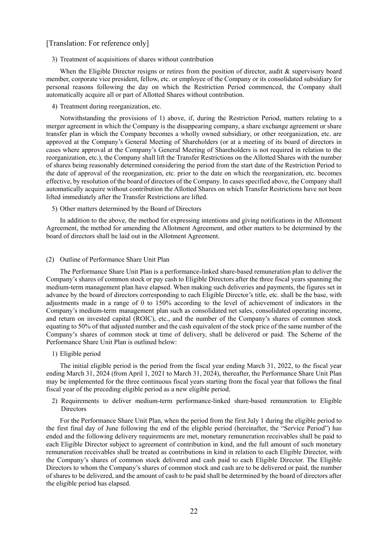#### 3) Treatment of acquisitions of shares without contribution

When the Eligible Director resigns or retires from the position of director, audit & supervisory board member, corporate vice president, fellow, etc. or employee of the Company or its consolidated subsidiary for personal reasons following the day on which the Restriction Period commenced, the Company shall automatically acquire all or part of Allotted Shares without contribution.

#### 4) Treatment during reorganization, etc.

Notwithstanding the provisions of 1) above, if, during the Restriction Period, matters relating to a merger agreement in which the Company is the disappearing company, a share exchange agreement or share transfer plan in which the Company becomes a wholly owned subsidiary, or other reorganization, etc. are approved at the Company's General Meeting of Shareholders (or at a meeting of its board of directors in cases where approval at the Company's General Meeting of Shareholders is not required in relation to the reorganization, etc.), the Company shall lift the Transfer Restrictions on the Allotted Shares with the number of shares being reasonably determined considering the period from the start date of the Restriction Period to the date of approval of the reorganization, etc. prior to the date on which the reorganization, etc. becomes effective, by resolution of the board of directors of the Company. In cases specified above, the Company shall automatically acquire without contribution the Allotted Shares on which Transfer Restrictions have not been lifted immediately after the Transfer Restrictions are lifted.

#### 5) Other matters determined by the Board of Directors

In addition to the above, the method for expressing intentions and giving notifications in the Allotment Agreement, the method for amending the Allotment Agreement, and other matters to be determined by the board of directors shall be laid out in the Allotment Agreement.

#### (2) Outline of Performance Share Unit Plan

The Performance Share Unit Plan is a performance-linked share-based remuneration plan to deliver the Company's shares of common stock or pay cash to Eligible Directors after the three fiscal years spanning the medium-term management plan have elapsed. When making such deliveries and payments, the figures set in advance by the board of directors corresponding to each Eligible Director's title, etc. shall be the base, with adjustments made in a range of 0 to 150% according to the level of achievement of indicators in the Company's medium-term management plan such as consolidated net sales, consolidated operating income, and return on invested capital (ROIC), etc., and the number of the Company's shares of common stock equating to 50% of that adjusted number and the cash equivalent of the stock price of the same number of the Company's shares of common stock at time of delivery, shall be delivered or paid. The Scheme of the Performance Share Unit Plan is outlined below:

#### 1) Eligible period

The initial eligible period is the period from the fiscal year ending March 31, 2022, to the fiscal year ending March 31, 2024 (from April 1, 2021 to March 31, 2024), thereafter, the Performance Share Unit Plan may be implemented for the three continuous fiscal years starting from the fiscal year that follows the final fiscal year of the preceding eligible period as a new eligible period.

2) Requirements to deliver medium-term performance-linked share-based remuneration to Eligible Directors

For the Performance Share Unit Plan, when the period from the first July 1 during the eligible period to the first final day of June following the end of the eligible period (hereinafter, the "Service Period") has ended and the following delivery requirements are met, monetary remuneration receivables shall be paid to each Eligible Director subject to agreement of contribution in kind, and the full amount of such monetary remuneration receivables shall be treated as contributions in kind in relation to each Eligible Director, with the Company's shares of common stock delivered and cash paid to each Eligible Director. The Eligible Directors to whom the Company's shares of common stock and cash are to be delivered or paid, the number of shares to be delivered, and the amount of cash to be paid shall be determined by the board of directors after the eligible period has elapsed.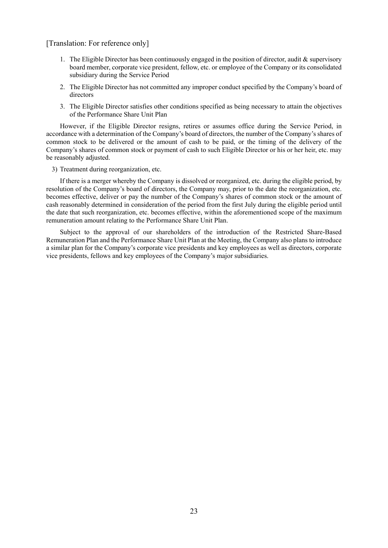- 1. The Eligible Director has been continuously engaged in the position of director, audit  $\&$  supervisory board member, corporate vice president, fellow, etc. or employee of the Company or its consolidated subsidiary during the Service Period
- 2. The Eligible Director has not committed any improper conduct specified by the Company's board of directors
- 3. The Eligible Director satisfies other conditions specified as being necessary to attain the objectives of the Performance Share Unit Plan

However, if the Eligible Director resigns, retires or assumes office during the Service Period, in accordance with a determination of the Company's board of directors, the number of the Company's shares of common stock to be delivered or the amount of cash to be paid, or the timing of the delivery of the Company's shares of common stock or payment of cash to such Eligible Director or his or her heir, etc. may be reasonably adjusted.

3) Treatment during reorganization, etc.

If there is a merger whereby the Company is dissolved or reorganized, etc. during the eligible period, by resolution of the Company's board of directors, the Company may, prior to the date the reorganization, etc. becomes effective, deliver or pay the number of the Company's shares of common stock or the amount of cash reasonably determined in consideration of the period from the first July during the eligible period until the date that such reorganization, etc. becomes effective, within the aforementioned scope of the maximum remuneration amount relating to the Performance Share Unit Plan.

Subject to the approval of our shareholders of the introduction of the Restricted Share-Based Remuneration Plan and the Performance Share Unit Plan at the Meeting, the Company also plans to introduce a similar plan for the Company's corporate vice presidents and key employees as well as directors, corporate vice presidents, fellows and key employees of the Company's major subsidiaries.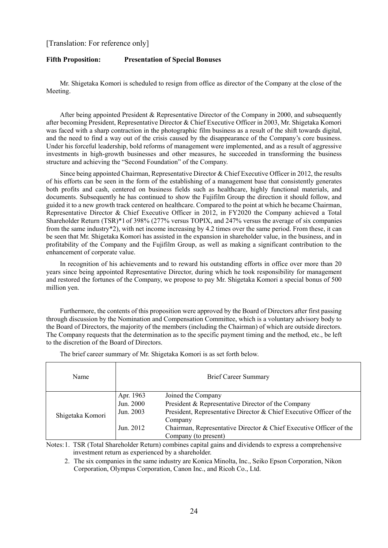#### **Fifth Proposition: Presentation of Special Bonuses**

Mr. Shigetaka Komori is scheduled to resign from office as director of the Company at the close of the Meeting.

After being appointed President & Representative Director of the Company in 2000, and subsequently after becoming President, Representative Director & Chief Executive Officer in 2003, Mr. Shigetaka Komori was faced with a sharp contraction in the photographic film business as a result of the shift towards digital, and the need to find a way out of the crisis caused by the disappearance of the Company's core business. Under his forceful leadership, bold reforms of management were implemented, and as a result of aggressive investments in high-growth businesses and other measures, he succeeded in transforming the business structure and achieving the "Second Foundation" of the Company.

Since being appointed Chairman, Representative Director & Chief Executive Officer in 2012, the results of his efforts can be seen in the form of the establishing of a management base that consistently generates both profits and cash, centered on business fields such as healthcare, highly functional materials, and documents. Subsequently he has continued to show the Fujifilm Group the direction it should follow, and guided it to a new growth track centered on healthcare. Compared to the point at which he became Chairman, Representative Director & Chief Executive Officer in 2012, in FY2020 the Company achieved a Total Shareholder Return (TSR)\*1of 398% (277% versus TOPIX, and 247% versus the average of six companies from the same industry\*2), with net income increasing by 4.2 times over the same period. From these, it can be seen that Mr. Shigetaka Komori has assisted in the expansion in shareholder value, in the business, and in profitability of the Company and the Fujifilm Group, as well as making a significant contribution to the enhancement of corporate value.

In recognition of his achievements and to reward his outstanding efforts in office over more than 20 years since being appointed Representative Director, during which he took responsibility for management and restored the fortunes of the Company, we propose to pay Mr. Shigetaka Komori a special bonus of 500 million yen.

Furthermore, the contents of this proposition were approved by the Board of Directors after first passing through discussion by the Nomination and Compensation Committee, which is a voluntary advisory body to the Board of Directors, the majority of the members (including the Chairman) of which are outside directors. The Company requests that the determination as to the specific payment timing and the method, etc., be left to the discretion of the Board of Directors.

| Name             |                        | <b>Brief Career Summary</b>                                         |
|------------------|------------------------|---------------------------------------------------------------------|
|                  | Apr. 1963<br>Jun. 2000 | Joined the Company                                                  |
|                  |                        | President & Representative Director of the Company                  |
| Shigetaka Komori | Jun. 2003              | President, Representative Director & Chief Executive Officer of the |
|                  |                        | Company                                                             |
|                  | Jun. 2012              | Chairman, Representative Director & Chief Executive Officer of the  |
|                  |                        | Company (to present)                                                |

The brief career summary of Mr. Shigetaka Komori is as set forth below.

Notes: 1. TSR (Total Shareholder Return) combines capital gains and dividends to express a comprehensive investment return as experienced by a shareholder.

2. The six companies in the same industry are Konica Minolta, Inc., Seiko Epson Corporation, Nikon Corporation, Olympus Corporation, Canon Inc., and Ricoh Co., Ltd.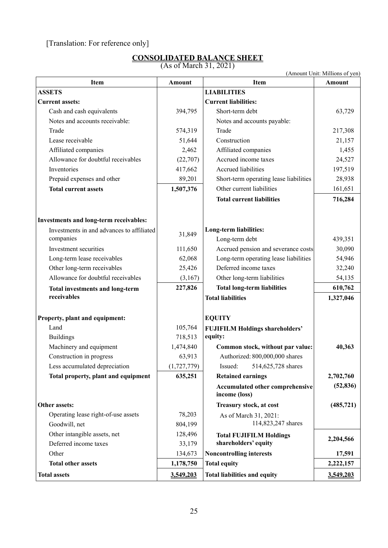# **CONSOLIDATED BALANCE SHEET**

| <b>CONSOLIDATED BALANCE SHEET</b> |  |
|-----------------------------------|--|
| $(A \cup A \cup B)$               |  |

(As of March 31, 2021)

(Amount Unit: Millions of yen) Item **Amount Amount Item Amount ASSETS** LIABILITIES **Current assets: Current liabilities:**  Cash and cash equivalents 1994,795 Short-term debt 63,729 Notes and accounts receivable:  $\blacksquare$  Notes and accounts payable: Trade 217,308 and 217,308 Lease receivable  $51,644$  Construction 21,157 Affiliated companies 2,462 Affiliated companies 1,455 Allowance for doubtful receivables (22,707) Accrued income taxes 24,527 Inventories 197,519 Accrued liabilities 197,519 Prepaid expenses and other 89,201 Short-term operating lease liabilities 28,938 **Total current assets 161,651 1,507,376 Other current liabilities** 161,651 **Total current liabilities 716,284 Investments and long-term receivables:**  Investments in and advances to affiliated <br>  $31,849$  Long-term liabilities:<br>
Long-term debt Long-term debt 439,351 Investment securities 111,650 Accrued pension and severance costs 30,090 Long-term lease receivables  $62,068$  Long-term operating lease liabilities 54,946 Other long-term receivables 25,426 Deferred income taxes 32,240 Allowance for doubtful receivables (3,167) Other long-term liabilities 54,135 **Total investments and long-term receivables 227,826 Total long-term liabilities 610,762 Total liabilities 1,327,046 Property, plant and equipment: EQUITY** Land 105,764 **FUJIFILM Holdings shareholders'** Buildings 218,513 **equity:** Machinery and equipment 1,474,840 **Common stock, without par value:** 40,363 Construction in progress  $\begin{array}{|l|c|c|c|c|c|c|c|} \hline \end{array}$  63,913 Authorized: 800,000,000 shares Less accumulated depreciation (1,727,779) Issued: 514,625,728 shares **Total property, plant and equipment 635,251 Retained earnings 2,702,760**  2,702,760 **Accumulated other comprehensive income (loss) (52,836) Other assets:** (485,721) **and Treasury stock, at cost** (485,721) Operating lease right-of-use assets 78,203 As of March 31, 2021: Goodwill, net 114,823,247 shares Other intangible assets, net 128,496 **Total FUJIFILM Holdings Shareholders' equity 2,204,566 Deferred income taxes and the state of the state of the state of the state of the state of the state of the state of the state of the state of the state of the state of the state of th** Other 134,673 **Noncontrolling interests** 17,591 **Total other assets 1,178,750 Total equity 1,178,750 Total equity 2,222,157 Total assets 3,549,203 Total liabilities and equity 3,549,203**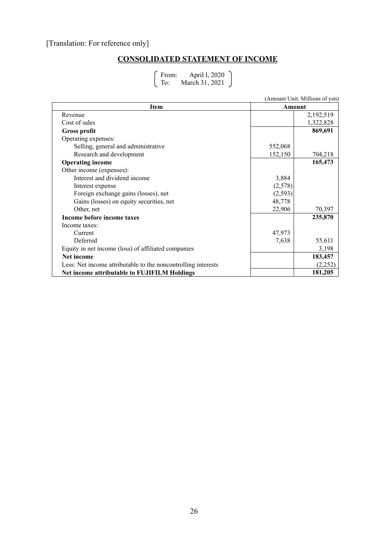### **CONSOLIDATED STATEMENT OF INCOME**

From: April l, 2020 To: March 31, 2021

|                                                               |          | $\mu$ mount chine ivinitions of $\mu$ on $\mu$ |  |  |  |
|---------------------------------------------------------------|----------|------------------------------------------------|--|--|--|
| <b>Item</b>                                                   |          | Amount                                         |  |  |  |
| Revenue                                                       |          | 2,192,519                                      |  |  |  |
| Cost of sales                                                 |          | 1,322,828                                      |  |  |  |
| <b>Gross profit</b>                                           |          | 869,691                                        |  |  |  |
| Operating expenses:                                           |          |                                                |  |  |  |
| Selling, general and administrative                           | 552,068  |                                                |  |  |  |
| Research and development                                      | 152,150  | 704,218                                        |  |  |  |
| <b>Operating income</b>                                       |          | 165,473                                        |  |  |  |
| Other income (expenses):                                      |          |                                                |  |  |  |
| Interest and dividend income                                  | 3,884    |                                                |  |  |  |
| Interest expense                                              | (2,578)  |                                                |  |  |  |
| Foreign exchange gains (losses), net                          | (2, 593) |                                                |  |  |  |
| Gains (losses) on equity securities, net                      | 48,778   |                                                |  |  |  |
| Other, net                                                    | 22,906   | 70,397                                         |  |  |  |
| Income before income taxes                                    |          | 235,870                                        |  |  |  |
| Income taxes:                                                 |          |                                                |  |  |  |
| Current                                                       | 47,973   |                                                |  |  |  |
| Deferred                                                      | 7,638    | 55,611                                         |  |  |  |
| Equity in net income (loss) of affiliated companies           |          | 3,198                                          |  |  |  |
| Net income                                                    |          | 183,457                                        |  |  |  |
| Less: Net income attributable to the noncontrolling interests |          | (2,252)                                        |  |  |  |
| Net income attributable to FUJIFILM Holdings                  |          | 181,205                                        |  |  |  |

(Amount Unit: Millions of yen)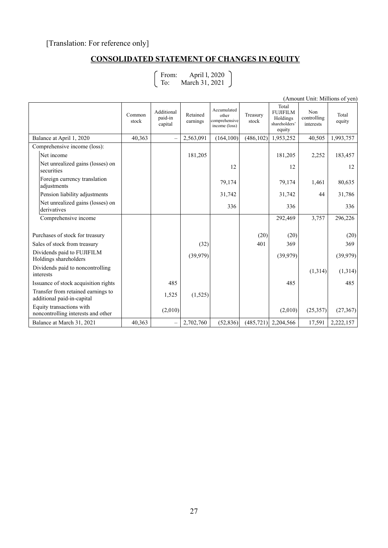### **CONSOLIDATED STATEMENT OF CHANGES IN EQUITY**

From: April l, 2020 To: March 31, 2021

|                                                                  |                 |                                  |                      |                                                        |                   |                                                                 | (Aliiouin Olin. Mhinoiis of yeif) |                 |
|------------------------------------------------------------------|-----------------|----------------------------------|----------------------|--------------------------------------------------------|-------------------|-----------------------------------------------------------------|-----------------------------------|-----------------|
|                                                                  | Common<br>stock | Additional<br>paid-in<br>capital | Retained<br>earnings | Accumulated<br>other<br>comprehensive<br>income (loss) | Treasury<br>stock | Total<br><b>FUJIFILM</b><br>Holdings<br>shareholders'<br>equity | Non<br>controlling<br>interests   | Total<br>equity |
| Balance at April 1, 2020                                         | 40,363          |                                  | 2,563,091            | (164, 100)                                             | (486, 102)        | 1,953,252                                                       | 40,505                            | 1,993,757       |
| Comprehensive income (loss):                                     |                 |                                  |                      |                                                        |                   |                                                                 |                                   |                 |
| Net income                                                       |                 |                                  | 181,205              |                                                        |                   | 181,205                                                         | 2,252                             | 183,457         |
| Net unrealized gains (losses) on<br>securities                   |                 |                                  |                      | 12                                                     |                   | 12                                                              |                                   | 12              |
| Foreign currency translation<br>adjustments                      |                 |                                  |                      | 79,174                                                 |                   | 79,174                                                          | 1,461                             | 80,635          |
| Pension liability adjustments                                    |                 |                                  |                      | 31,742                                                 |                   | 31,742                                                          | 44                                | 31,786          |
| Net unrealized gains (losses) on<br>derivatives                  |                 |                                  |                      | 336                                                    |                   | 336                                                             |                                   | 336             |
| Comprehensive income                                             |                 |                                  |                      |                                                        |                   | 292,469                                                         | 3,757                             | 296,226         |
|                                                                  |                 |                                  |                      |                                                        |                   |                                                                 |                                   |                 |
| Purchases of stock for treasury                                  |                 |                                  |                      |                                                        | (20)              | (20)                                                            |                                   | (20)            |
| Sales of stock from treasury                                     |                 |                                  | (32)                 |                                                        | 401               | 369                                                             |                                   | 369             |
| Dividends paid to FUJIFILM<br>Holdings shareholders              |                 |                                  | (39,979)             |                                                        |                   | (39,979)                                                        |                                   | (39, 979)       |
| Dividends paid to noncontrolling<br>interests                    |                 |                                  |                      |                                                        |                   |                                                                 | (1,314)                           | (1,314)         |
| Issuance of stock acquisition rights                             |                 | 485                              |                      |                                                        |                   | 485                                                             |                                   | 485             |
| Transfer from retained earnings to<br>additional paid-in-capital |                 | 1,525                            | (1,525)              |                                                        |                   |                                                                 |                                   |                 |
| Equity transactions with<br>noncontrolling interests and other   |                 | (2,010)                          |                      |                                                        |                   | (2,010)                                                         | (25, 357)                         | (27, 367)       |
| Balance at March 31, 2021                                        | 40,363          |                                  | 2,702,760            | (52, 836)                                              | (485, 721)        | 2,204,566                                                       | 17,591                            | 2,222,157       |

(Amount Unit: Millions of yen)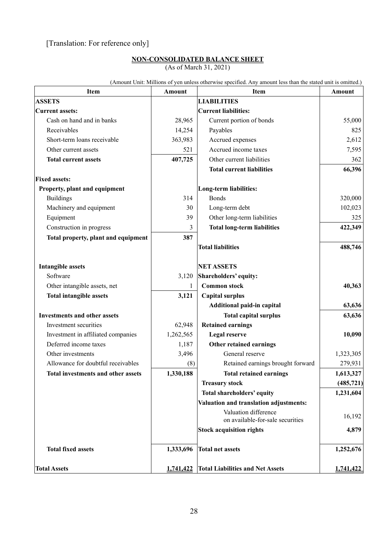#### **NON-CONSOLIDATED BALANCE SHEET** (As of March 31, 2021)

| Item                                | <b>Amount</b> | <b>Item</b>                                              | <b>Amount</b> |
|-------------------------------------|---------------|----------------------------------------------------------|---------------|
| <b>ASSETS</b>                       |               | <b>LIABILITIES</b>                                       |               |
| <b>Current assets:</b>              |               | <b>Current liabilities:</b>                              |               |
| Cash on hand and in banks           | 28,965        | Current portion of bonds                                 | 55,000        |
| Receivables                         | 14,254        | Payables                                                 | 825           |
| Short-term loans receivable         | 363,983       | Accrued expenses                                         | 2,612         |
| Other current assets                | 521           | Accrued income taxes                                     | 7,595         |
| <b>Total current assets</b>         | 407,725       | Other current liabilities                                | 362           |
|                                     |               | <b>Total current liabilities</b>                         | 66,396        |
| <b>Fixed assets:</b>                |               |                                                          |               |
| Property, plant and equipment       |               | Long-term liabilities:                                   |               |
| <b>Buildings</b>                    | 314           | <b>Bonds</b>                                             | 320,000       |
| Machinery and equipment             | 30            | Long-term debt                                           | 102,023       |
| Equipment                           | 39            | Other long-term liabilities                              | 325           |
| Construction in progress            | 3             | <b>Total long-term liabilities</b>                       | 422,349       |
| Total property, plant and equipment | 387           |                                                          |               |
|                                     |               | <b>Total liabilities</b>                                 | 488,746       |
| <b>Intangible assets</b>            |               | <b>NET ASSETS</b>                                        |               |
| Software                            | 3,120         | Shareholders' equity:                                    |               |
| Other intangible assets, net        | 1             | <b>Common stock</b>                                      | 40,363        |
| <b>Total intangible assets</b>      | 3,121         | <b>Capital surplus</b>                                   |               |
|                                     |               | Additional paid-in capital                               | 63,636        |
| <b>Investments and other assets</b> |               | <b>Total capital surplus</b>                             | 63,636        |
| Investment securities               | 62,948        | <b>Retained earnings</b>                                 |               |
| Investment in affiliated companies  | 1,262,565     | Legal reserve                                            | 10,090        |
| Deferred income taxes               | 1,187         | Other retained earnings                                  |               |
| Other investments                   | 3,496         | General reserve                                          | 1,323,305     |
| Allowance for doubtful receivables  | (8)           | Retained earnings brought forward                        | 279,931       |
| Total investments and other assets  | 1,330,188     | <b>Total retained earnings</b>                           | 1,613,327     |
|                                     |               | <b>Treasury stock</b>                                    | (485, 721)    |
|                                     |               | Total shareholders' equity                               | 1,231,604     |
|                                     |               | Valuation and translation adjustments:                   |               |
|                                     |               | Valuation difference<br>on available-for-sale securities | 16,192        |
|                                     |               | <b>Stock acquisition rights</b>                          | 4,879         |
| <b>Total fixed assets</b>           | 1,333,696     | <b>Total net assets</b>                                  | 1,252,676     |
| <b>Total Assets</b>                 | 1,741,422     | <b>Total Liabilities and Net Assets</b>                  | 1,741,422     |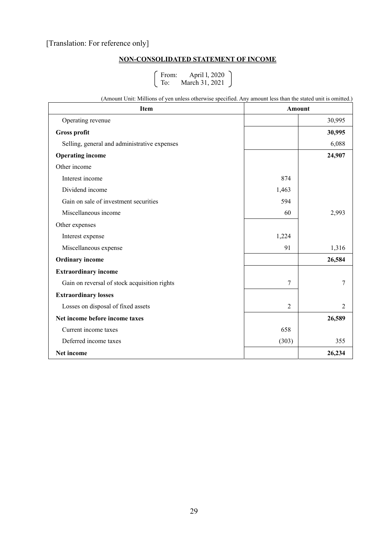### **NON-CONSOLIDATED STATEMENT OF INCOME**

From: April l, 2020 To: March 31, 2021

(Amount Unit: Millions of yen unless otherwise specified. Any amount less than the stated unit is omitted.)

| <b>Item</b>                                  | <b>Amount</b>  |                |
|----------------------------------------------|----------------|----------------|
| Operating revenue                            |                | 30,995         |
| <b>Gross profit</b>                          |                | 30,995         |
| Selling, general and administrative expenses |                | 6,088          |
| <b>Operating income</b>                      |                | 24,907         |
| Other income                                 |                |                |
| Interest income                              | 874            |                |
| Dividend income                              | 1,463          |                |
| Gain on sale of investment securities        | 594            |                |
| Miscellaneous income                         | 60             | 2,993          |
| Other expenses                               |                |                |
| Interest expense                             | 1,224          |                |
| Miscellaneous expense                        | 91             | 1,316          |
| <b>Ordinary</b> income                       |                | 26,584         |
| <b>Extraordinary income</b>                  |                |                |
| Gain on reversal of stock acquisition rights | 7              | 7              |
| <b>Extraordinary losses</b>                  |                |                |
| Losses on disposal of fixed assets           | $\overline{2}$ | $\overline{2}$ |
| Net income before income taxes               |                | 26,589         |
| Current income taxes                         | 658            |                |
| Deferred income taxes                        | (303)          | 355            |
| Net income                                   |                | 26,234         |